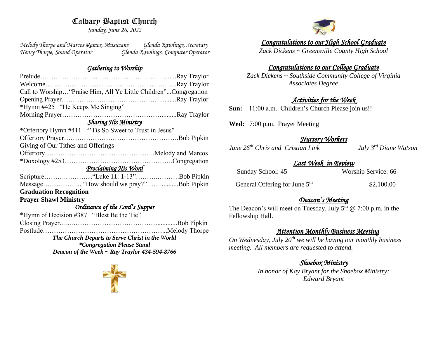# Calvary Baptist Church

*Sunday, June 26, 2022*

*Melody Thorpe and Marcos Ramos, Musicians Glenda Rawlings, Secretary Henry Thorpe, Sound Operator Glenda Rawlings, Computer Operator* 

#### *Gathering to Worship*

| Call to Worship "Praise Him, All Ye Little Children"Congregation |  |  |
|------------------------------------------------------------------|--|--|
|                                                                  |  |  |
| *Hymn #425 "He Keeps Me Singing"                                 |  |  |
|                                                                  |  |  |
| <b>Sharing His Ministry</b>                                      |  |  |
| *Offertory Hymn #411 "Tis So Sweet to Trust in Jesus"            |  |  |
|                                                                  |  |  |
| Giving of Our Tithes and Offerings                               |  |  |
|                                                                  |  |  |
|                                                                  |  |  |
| <u> Proclaiming His Word</u>                                     |  |  |
|                                                                  |  |  |
| MessageHow should we pray?"Bob Pipkin                            |  |  |
| <b>Graduation Recognition</b>                                    |  |  |
| <b>Prayer Shawl Ministry</b>                                     |  |  |
| Ordinance of the Lord's Supper                                   |  |  |
| *Hymn of Decision #387 "Blest Be the Tie"                        |  |  |
|                                                                  |  |  |
|                                                                  |  |  |
| The Church Departs to Serve Christ in the World                  |  |  |
| <i>*Congregation Please Stand</i>                                |  |  |
| Deacon of the Week $\sim$ Ray Traylor 434-594-8766               |  |  |





*Congratulations to our High School Graduate* 

*Zack Dickens ~ Greensville County High School*

#### *Congratulations to our College Graduate*

*Zack Dickens ~ Southside Community College of Virginia Associates Degree*

#### *Activities for the Week*

**Sun:** 11:00 a.m. Children's Church Please join us!!

**Wed:** 7:00 p.m. Prayer Meeting

### *Nursery Workers*

*June 26th Chris and Cristian Link July 3rd Diane Watson*

#### *Last Week in Review*

| Sunday School: 45 | Worship Service: 66 |  |
|-------------------|---------------------|--|
|-------------------|---------------------|--|

General Offering for June 5<sup>th</sup> \$2,100.00

#### *Deacon's Meeting*

The Deacon's will meet on Tuesday, July  $5<sup>th</sup>$  @ 7:00 p.m. in the Fellowship Hall.

### *Attention Monthly Business Meeting*

*On Wednesday, July 20th we will be having our monthly business meeting. All members are requested to attend.* 

# *Shoebox Ministry*

*In honor of Kay Bryant for the Shoebox Ministry: Edward Bryant*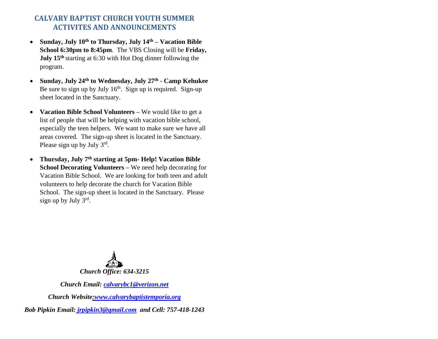# **CALVARY BAPTIST CHURCH YOUTH SUMMER ACTIVITES AND ANNOUNCEMENTS**

- **Sunday, July 10th to Thursday, July 14th – Vacation Bible School 6:30pm to 8:45pm**. The VBS Closing will be **Friday, July 15th** starting at 6:30 with Hot Dog dinner following the program.
- **Sunday, July 24th to Wednesday, July 27th - Camp Kehukee** Be sure to sign up by July  $16<sup>th</sup>$ . Sign up is required. Sign-up sheet located in the Sanctuary.
- **Vacation Bible School Volunteers –** We would like to get a list of people that will be helping with vacation bible school, especially the teen helpers. We want to make sure we have all areas covered. The sign-up sheet is located in the Sanctuary. Please sign up by July  $3^{rd}$ .
- **Thursday, July 7th starting at 5pm- Help! Vacation Bible School Decorating Volunteers –** We need help decorating for Vacation Bible School. We are looking for both teen and adult volunteers to help decorate the church for Vacation Bible School. The sign-up sheet is located in the Sanctuary. Please sign up by July 3rd.



*Church Email: [calvarybc1@verizon.net](mailto:cbcemporiaoffice@gmail.com)*

*Church Website[:www.calvarybaptistemporia.org](http://www.calvarybaptistemporia.org/)*

*Bob Pipkin Email: [jrpipkin3@gmail.com](mailto:jrpipkin3@gmail.com) and Cell: 757-418-1243*